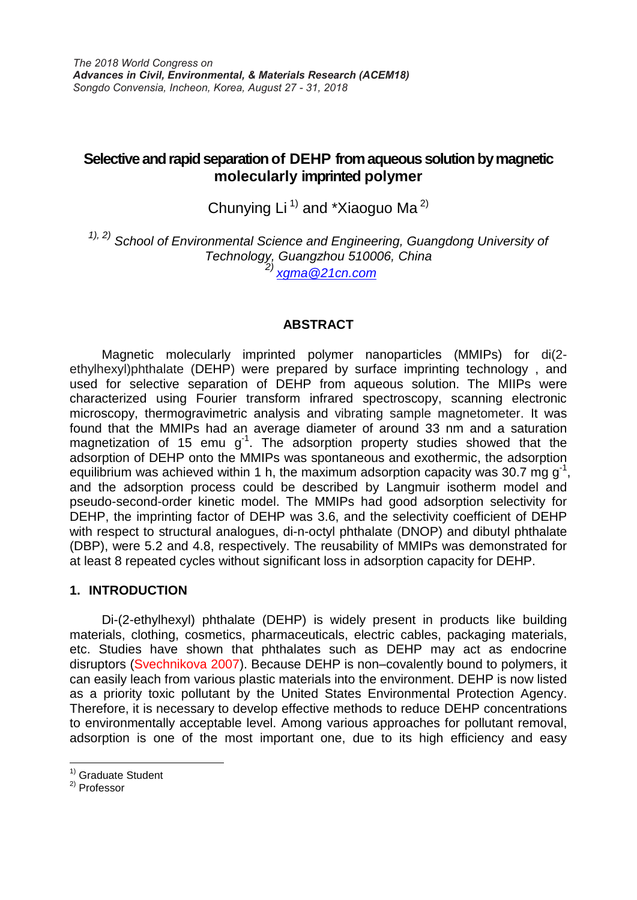# **Selective and rapid separation of DEHP from aqueous solution by magnetic molecularly imprinted polymer**

Chunying Li<sup>1)</sup> and \*Xiaoguo Ma<sup>2)</sup>

*1), 2) School of Environmental Science and Engineering, Guangdong University of Technology, Guangzhou 510006, China 2) [xgma@21cn.com](mailto:xgma@21cn.com)*

## **ABSTRACT**

 Magnetic molecularly imprinted polymer nanoparticles (MMIPs) for di(2 ethylhexyl)phthalate (DEHP) were prepared by surface imprinting technology , and used for selective separation of DEHP from aqueous solution. The MIIPs were characterized using Fourier transform infrared spectroscopy, scanning electronic microscopy, thermogravimetric analysis and vibrating sample magnetometer. It was found that the MMIPs had an average diameter of around 33 nm and a saturation magnetization of 15 emu  $g^{-1}$ . The adsorption property studies showed that the adsorption of DEHP onto the MMIPs was spontaneous and exothermic, the adsorption equilibrium was achieved within 1 h, the maximum adsorption capacity was 30.7 mg  $g^{-1}$ , and the adsorption process could be described by Langmuir isotherm model and pseudo-second-order kinetic model. The MMIPs had good adsorption selectivity for DEHP, the imprinting factor of DEHP was 3.6, and the selectivity coefficient of DEHP with respect to structural analogues, di-n-octyl phthalate (DNOP) and dibutyl phthalate (DBP), were 5.2 and 4.8, respectively. The reusability of MMIPs was demonstrated for at least 8 repeated cycles without significant loss in adsorption capacity for DEHP.

## **1. INTRODUCTION**

Di-(2-ethylhexyl) phthalate (DEHP) is widely present in products like building materials, clothing, cosmetics, pharmaceuticals, electric cables, packaging materials, etc. Studies have shown that phthalates such as DEHP may act as endocrine disruptors (Svechnikova 2007). Because DEHP is non–covalently bound to polymers, it can easily leach from various plastic materials into the environment. DEHP is now listed as a priority toxic pollutant by the United States Environmental Protection Agency. Therefore, it is necessary to develop effective methods to reduce DEHP concentrations to environmentally acceptable level. Among various approaches for pollutant removal, adsorption is one of the most important one, due to its high efficiency and easy

 $\overline{a}$ 

<sup>&</sup>lt;sup>1)</sup> Graduate Student

<sup>2)</sup> Professor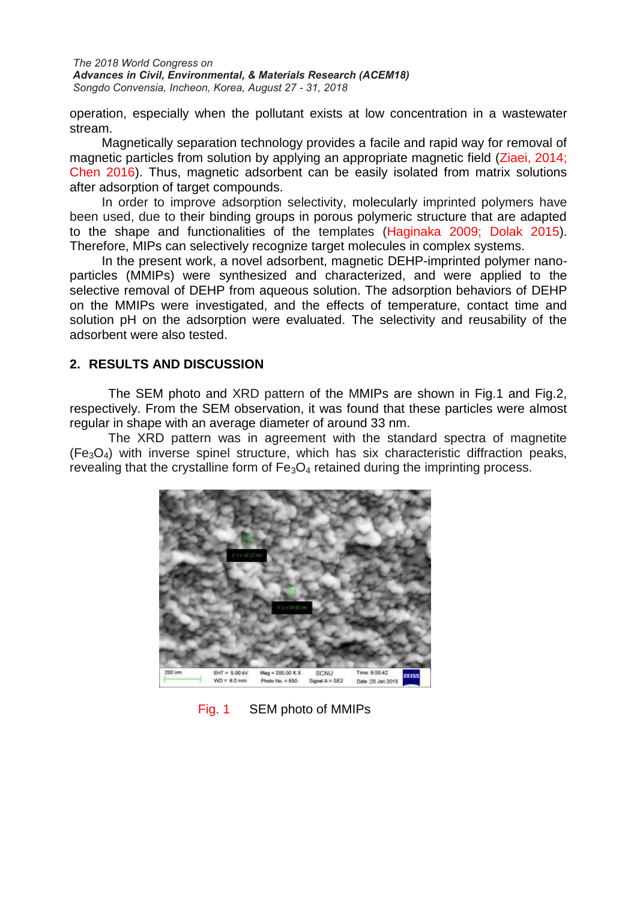*The 2018 World Congress on Advances in Civil, Environmental, & Materials Research (ACEM18) Songdo Convensia, Incheon, Korea, August 27 - 31, 2018*

operation, especially when the pollutant exists at low concentration in a wastewater stream.

Magnetically separation technology provides a facile and rapid way for removal of magnetic particles from solution by applying an appropriate magnetic field (Ziaei, 2014; Chen 2016). Thus, magnetic adsorbent can be easily isolated from matrix solutions after adsorption of target compounds.

In order to improve adsorption selectivity, molecularly imprinted polymers have been used, due to their binding groups in porous polymeric structure that are adapted to the shape and functionalities of the templates (Haginaka 2009; Dolak 2015). Therefore, MIPs can selectively recognize target molecules in complex systems.

 In the present work, a novel adsorbent, magnetic DEHP-imprinted polymer nanoparticles (MMIPs) were synthesized and characterized, and were applied to the selective removal of DEHP from aqueous solution. The adsorption behaviors of DEHP on the MMIPs were investigated, and the effects of temperature, contact time and solution pH on the adsorption were evaluated. The selectivity and reusability of the adsorbent were also tested.

## **2. RESULTS AND DISCUSSION**

The SEM photo and XRD pattern of the MMIPs are shown in Fig.1 and Fig.2, respectively. From the SEM observation, it was found that these particles were almost regular in shape with an average diameter of around 33 nm.

The XRD pattern was in agreement with the standard spectra of magnetite  $(F_{\alpha}O_4)$  with inverse spinel structure, which has six characteristic diffraction peaks, revealing that the crystalline form of  $Fe<sub>3</sub>O<sub>4</sub>$  retained during the imprinting process.



Fig. 1 SEM photo of MMIPs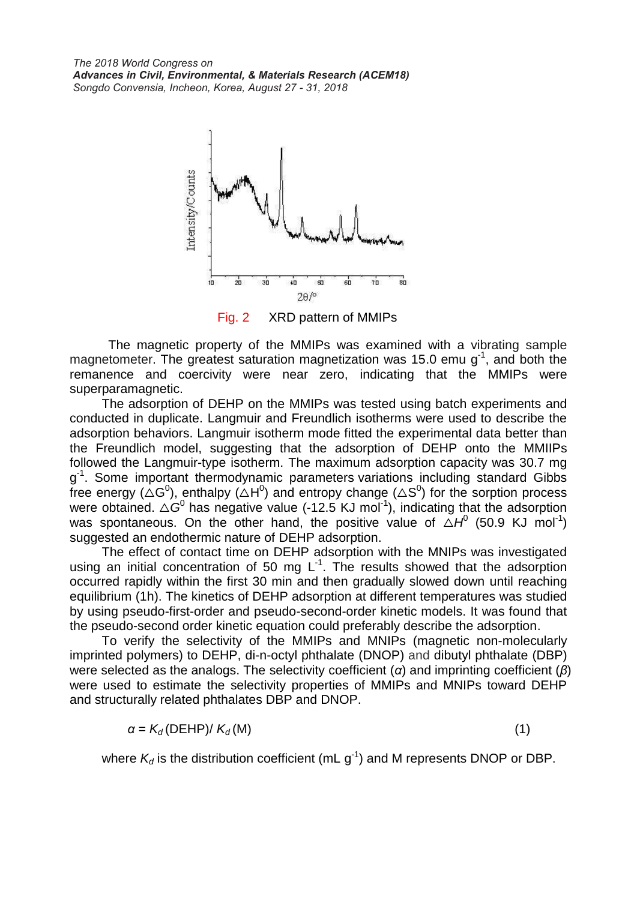*The 2018 World Congress on Advances in Civil, Environmental, & Materials Research (ACEM18) Songdo Convensia, Incheon, Korea, August 27 - 31, 2018*



Fig. 2 XRD pattern of MMIPs

The magnetic property of the MMIPs was examined with a vibrating sample magnetometer. The greatest saturation magnetization was 15.0 emu  $g<sup>-1</sup>$ , and both the remanence and coercivity were near zero, indicating that the MMIPs were superparamagnetic.

The adsorption of DEHP on the MMIPs was tested using batch experiments and conducted in duplicate. Langmuir and Freundlich isotherms were used to describe the adsorption behaviors. Langmuir isotherm mode fitted the experimental data better than the Freundlich model, suggesting that the adsorption of DEHP onto the MMIIPs followed the Langmuir-type isotherm. The maximum adsorption capacity was 30.7 mg g<sup>1</sup>. Some important thermodynamic parameters variations including standard Gibbs free energy ( $\triangle G^0$ ), enthalpy ( $\triangle H^0$ ) and entropy change ( $\triangle S^0$ ) for the sorption process were obtained.  $\triangle G^0$  has negative value (-12.5 KJ mol<sup>-1</sup>), indicating that the adsorption was spontaneous. On the other hand, the positive value of  $\Delta H^0$  (50.9 KJ mol<sup>-1</sup>) suggested an endothermic nature of DEHP adsorption.

The effect of contact time on DEHP adsorption with the MNIPs was investigated using an initial concentration of 50 mg  $L^{-1}$ . The results showed that the adsorption occurred rapidly within the first 30 min and then gradually slowed down until reaching equilibrium (1h). The kinetics of DEHP adsorption at different temperatures was studied by using pseudo-first-order and pseudo-second-order kinetic models. It was found that the pseudo-second order kinetic equation could preferably describe the adsorption.

To verify the selectivity of the MMIPs and MNIPs (magnetic non-molecularly imprinted polymers) to DEHP, di-n-octyl phthalate (DNOP) and dibutyl phthalate (DBP) were selected as the analogs. The selectivity coefficient (*α*) and imprinting coefficient (*β*) were used to estimate the selectivity properties of MMIPs and MNIPs toward DEHP and structurally related phthalates DBP and DNOP.

$$
\alpha = K_d(\text{DEHP})/K_d(\text{M})
$$
\n(1)

where  $K_d$  is the distribution coefficient (mL  $g^{-1}$ ) and M represents DNOP or DBP.